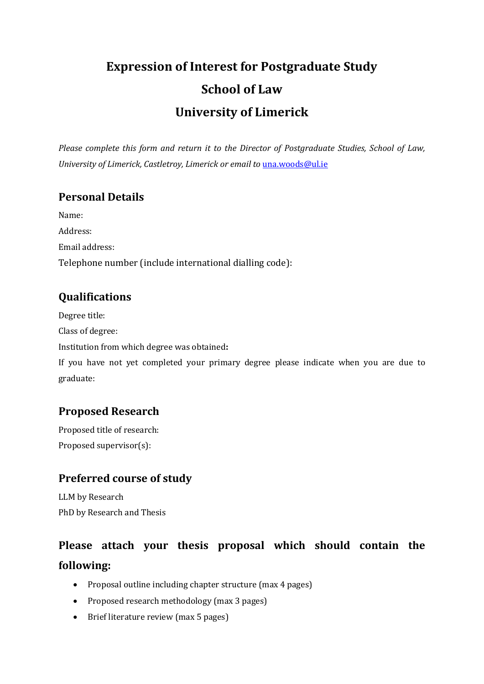# **Expression of Interest for Postgraduate Study School of Law University of Limerick**

*Please complete this form and return it to the Director of Postgraduate Studies, School of Law, University of Limerick, Castletroy, Limerick or email to* [una.woods@ul.ie](mailto:una.woods@ul.ie)

#### **Personal Details**

Name: Address: Email address: Telephone number (include international dialling code):

#### **Qualifications**

Degree title:

Class of degree:

Institution from which degree was obtained**:**

If you have not yet completed your primary degree please indicate when you are due to graduate:

#### **Proposed Research**

Proposed title of research: Proposed supervisor(s):

### **Preferred course of study**

LLM by Research PhD by Research and Thesis

## **Please attach your thesis proposal which should contain the following:**

- Proposal outline including chapter structure (max 4 pages)
- Proposed research methodology (max 3 pages)
- Brief literature review (max 5 pages)